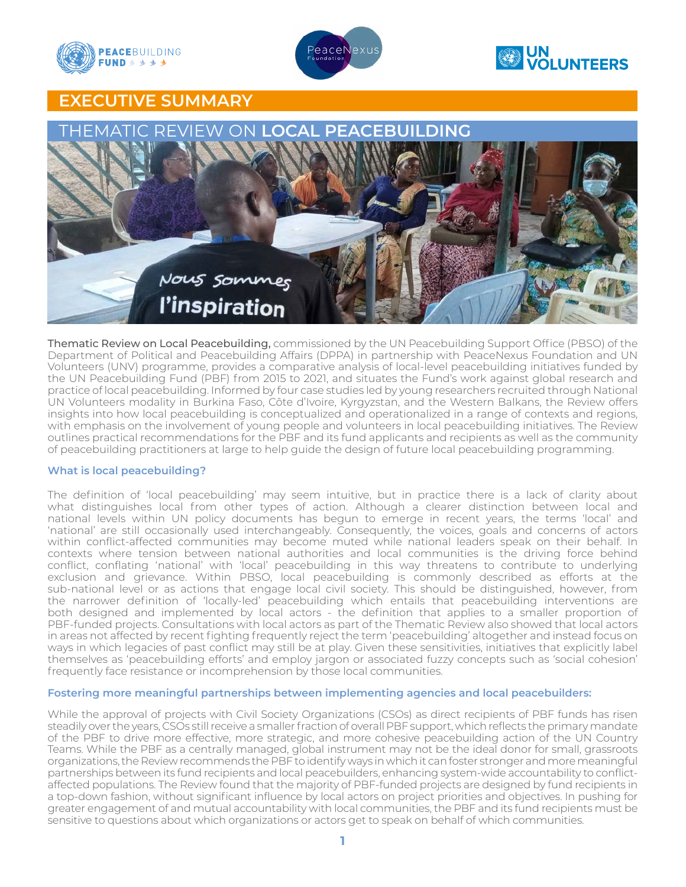



# **ON UN VOLUNTEERS**

# EXECUTIVE SUMMARY



Thematic Review on Local Peacebuilding, commissioned by the UN Peacebuilding Support Office (PBSO) of the Department of Political and Peacebuilding Affairs (DPPA) in partnership with PeaceNexus Foundation and UN Volunteers (UNV) programme, provides a comparative analysis of local-level peacebuilding initiatives funded by the UN Peacebuilding Fund (PBF) from 2015 to 2021, and situates the Fund's work against global research and practice of local peacebuilding. Informed by four case studies led by young researchers recruited through National UN Volunteers modality in Burkina Faso, Côte d'Ivoire, Kyrgyzstan, and the Western Balkans, the Review offers insights into how local peacebuilding is conceptualized and operationalized in a range of contexts and regions, with emphasis on the involvement of young people and volunteers in local peacebuilding initiatives. The Review outlines practical recommendations for the PBF and its fund applicants and recipients as well as the community of peacebuilding practitioners at large to help guide the design of future local peacebuilding programming.

## What is local peacebuilding?

The definition of 'local peacebuilding' may seem intuitive, but in practice there is a lack of clarity about what distinguishes local from other types of action. Although a clearer distinction between local and national levels within UN policy documents has begun to emerge in recent years, the terms 'local' and 'national' are still occasionally used interchangeably. Consequently, the voices, goals and concerns of actors within conflict-affected communities may become muted while national leaders speak on their behalf. In contexts where tension between national authorities and local communities is the driving force behind conflict, conflating 'national' with 'local' peacebuilding in this way threatens to contribute to underlying exclusion and grievance. Within PBSO, local peacebuilding is commonly described as efforts at the sub-national level or as actions that engage local civil society. This should be distinguished, however, from the narrower definition of 'locally-led' peacebuilding which entails that peacebuilding interventions are both designed and implemented by local actors - the definition that applies to a smaller proportion of PBF-funded projects. Consultations with local actors as part of the Thematic Review also showed that local actors in areas not affected by recent fighting frequently reject the term 'peacebuilding' altogether and instead focus on ways in which legacies of past conflict may still be at play. Given these sensitivities, initiatives that explicitly label themselves as 'peacebuilding efforts' and employ jargon or associated fuzzy concepts such as 'social cohesion' frequently face resistance or incomprehension by those local communities.

## Fostering more meaningful partnerships between implementing agencies and local peacebuilders:

While the approval of projects with Civil Society Organizations (CSOs) as direct recipients of PBF funds has risen steadily over the years, CSOs still receive a smaller fraction of overall PBF support, which reflects the primary mandate of the PBF to drive more effective, more strategic, and more cohesive peacebuilding action of the UN Country Teams. While the PBF as a centrally managed, global instrument may not be the ideal donor for small, grassroots organizations, the Review recommends the PBF to identify ways in which it can foster stronger and more meaningful partnerships between its fund recipients and local peacebuilders, enhancing system-wide accountability to conflictaffected populations. The Review found that the majority of PBF-funded projects are designed by fund recipients in a top-down fashion, without significant influence by local actors on project priorities and objectives. In pushing for greater engagement of and mutual accountability with local communities, the PBF and its fund recipients must be sensitive to questions about which organizations or actors get to speak on behalf of which communities.